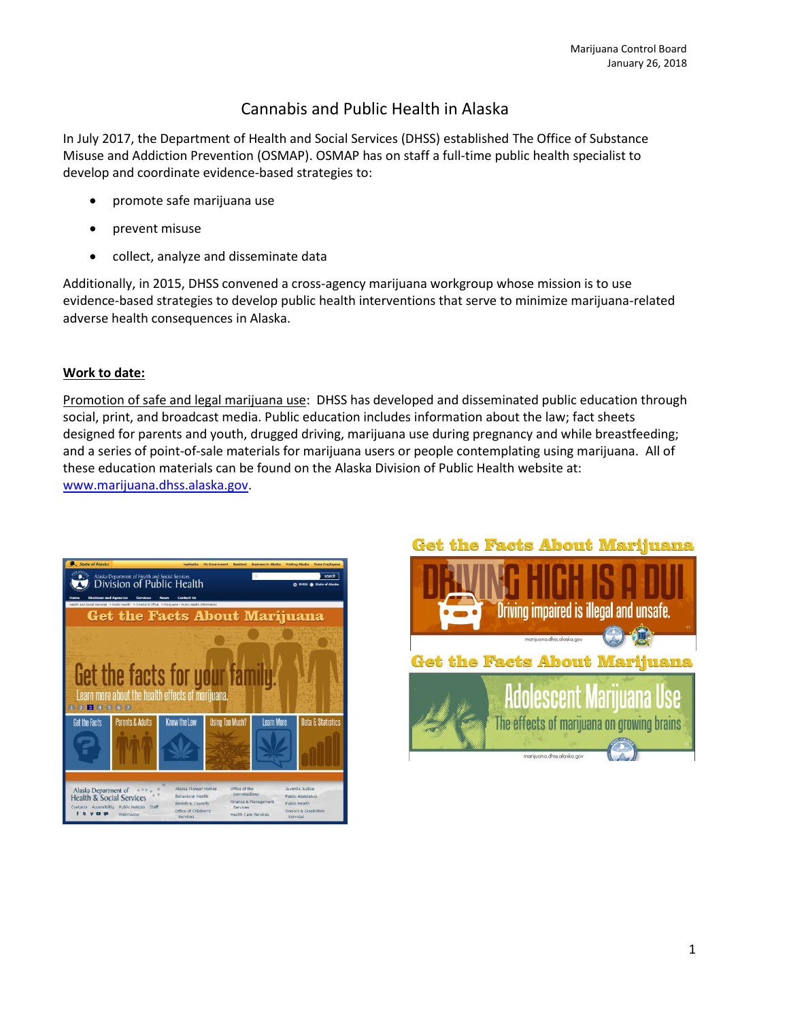# Cannabis and Public Health in Alaska

In July 2017, the Department of Health and Social Services (DHSS) established The Office of Substance Misuse and Addiction Prevention (OSMAP). OSMAP has on staff a full-time public health specialist to develop and coordinate evidence-based strategies to:

- promote safe marijuana use
- prevent misuse
- collect, analyze and disseminate data

Additionally, in 2015, DHSS convened a cross-agency marijuana workgroup whose mission is to use evidence-based strategies to develop public health interventions that serve to minimize marijuana-related adverse health consequences in Alaska.

### **Work to date:**

Promotion of safe and legal marijuana use: DHSS has developed and disseminated public education through social, print, and broadcast media. Public education includes information about the law; fact sheets designed for parents and youth, drugged driving, marijuana use during pregnancy and while breastfeeding; and a series of point-of-sale materials for marijuana users or people contemplating using marijuana. All of these education materials can be found on the Alaska Division of Public Health website at: [www.marijuana.dhss.alaska.gov.](http://www.marijuana.dhss.alaska.gov/)



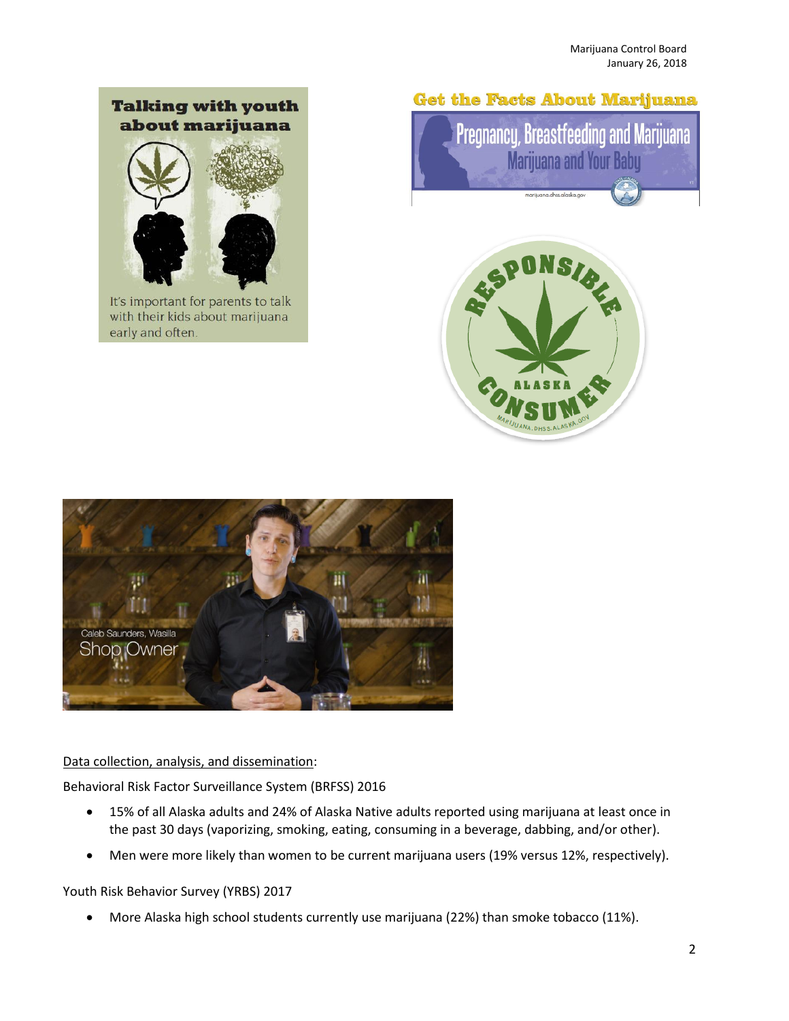## **Talking with youth** about marijuana



It's important for parents to talk with their kids about marijuana early and often.

## **Get the Facts About Marijuana**







Data collection, analysis, and dissemination:

Behavioral Risk Factor Surveillance System (BRFSS) 2016

- 15% of all Alaska adults and 24% of Alaska Native adults reported using marijuana at least once in the past 30 days (vaporizing, smoking, eating, consuming in a beverage, dabbing, and/or other).
- Men were more likely than women to be current marijuana users (19% versus 12%, respectively).

Youth Risk Behavior Survey (YRBS) 2017

More Alaska high school students currently use marijuana (22%) than smoke tobacco (11%).